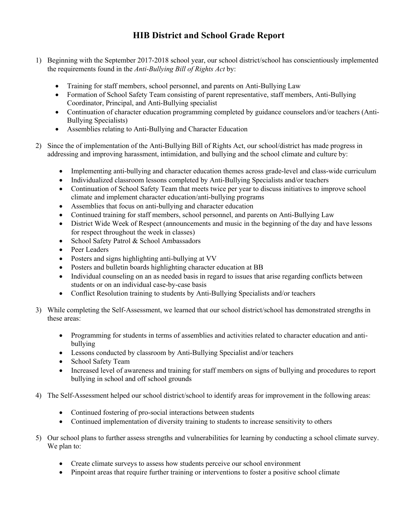## **HIB District and School Grade Report**

- 1) Beginning with the September 2017-2018 school year, our school district/school has conscientiously implemented the requirements found in the *Anti-Bullying Bill of Rights Act* by:
	- Training for staff members, school personnel, and parents on Anti-Bullying Law
	- Formation of School Safety Team consisting of parent representative, staff members, Anti-Bullying Coordinator, Principal, and Anti-Bullying specialist
	- Continuation of character education programming completed by guidance counselors and/or teachers (Anti-Bullying Specialists)
	- Assemblies relating to Anti-Bullying and Character Education
- 2) Since the of implementation of the Anti-Bullying Bill of Rights Act, our school/district has made progress in addressing and improving harassment, intimidation, and bullying and the school climate and culture by:
	- Implementing anti-bullying and character education themes across grade-level and class-wide curriculum
	- Individualized classroom lessons completed by Anti-Bullying Specialists and/or teachers
	- Continuation of School Safety Team that meets twice per year to discuss initiatives to improve school climate and implement character education/anti-bullying programs
	- Assemblies that focus on anti-bullying and character education
	- Continued training for staff members, school personnel, and parents on Anti-Bullying Law
	- District Wide Week of Respect (announcements and music in the beginning of the day and have lessons for respect throughout the week in classes)
	- School Safety Patrol & School Ambassadors
	- Peer Leaders
	- Posters and signs highlighting anti-bullying at VV
	- Posters and bulletin boards highlighting character education at BB
	- Individual counseling on an as needed basis in regard to issues that arise regarding conflicts between students or on an individual case-by-case basis
	- Conflict Resolution training to students by Anti-Bullying Specialists and/or teachers
- 3) While completing the Self-Assessment, we learned that our school district/school has demonstrated strengths in these areas:
	- Programming for students in terms of assemblies and activities related to character education and antibullying
	- Lessons conducted by classroom by Anti-Bullying Specialist and/or teachers
	- School Safety Team
	- Increased level of awareness and training for staff members on signs of bullying and procedures to report bullying in school and off school grounds
- 4) The Self-Assessment helped our school district/school to identify areas for improvement in the following areas:
	- Continued fostering of pro-social interactions between students
	- Continued implementation of diversity training to students to increase sensitivity to others
- 5) Our school plans to further assess strengths and vulnerabilities for learning by conducting a school climate survey. We plan to:
	- Create climate surveys to assess how students perceive our school environment
	- Pinpoint areas that require further training or interventions to foster a positive school climate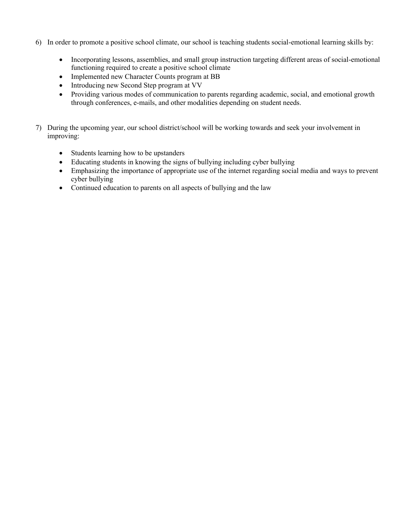- 6) In order to promote a positive school climate, our school is teaching students social-emotional learning skills by:
	- Incorporating lessons, assemblies, and small group instruction targeting different areas of social-emotional functioning required to create a positive school climate
	- Implemented new Character Counts program at BB
	- Introducing new Second Step program at VV
	- Providing various modes of communication to parents regarding academic, social, and emotional growth through conferences, e-mails, and other modalities depending on student needs.
- 7) During the upcoming year, our school district/school will be working towards and seek your involvement in improving:
	- Students learning how to be upstanders
	- Educating students in knowing the signs of bullying including cyber bullying
	- Emphasizing the importance of appropriate use of the internet regarding social media and ways to prevent cyber bullying
	- Continued education to parents on all aspects of bullying and the law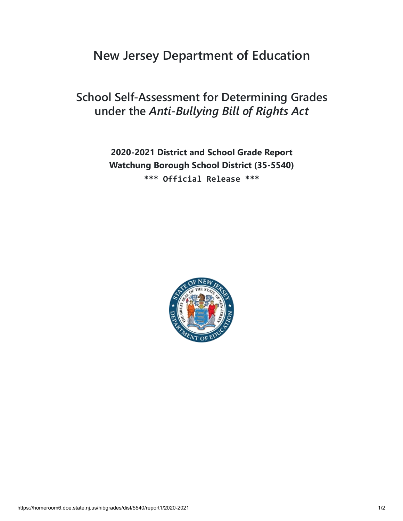# **New Jersey Department of Education**

## **School Self-Assessment for Determining Grades under the** *Anti-Bullying Bill of Rights Act*

**2020-2021 District and School Grade Report Watchung Borough School District (35-5540) \*\*\* Official Release \*\*\***